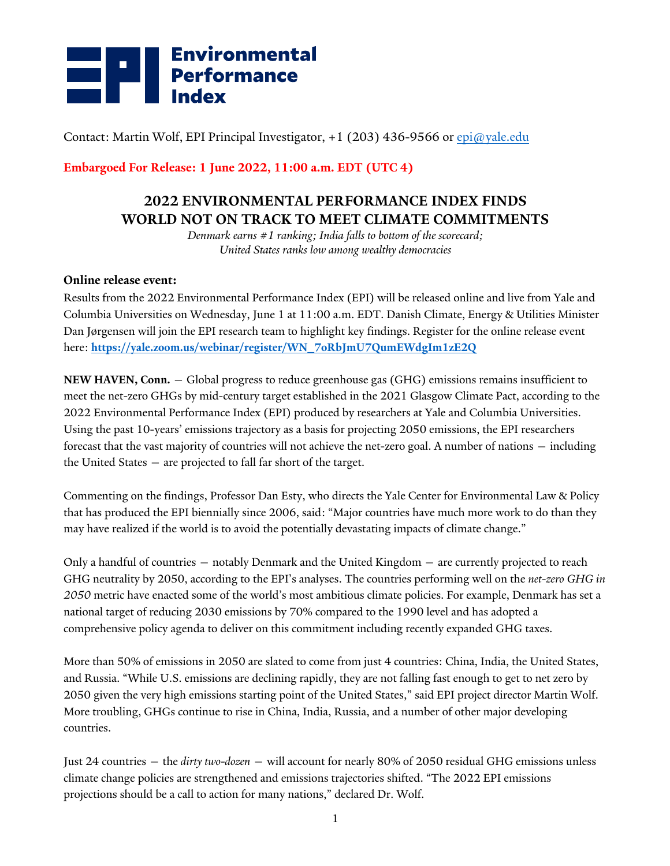## **Environmental<br>Performance<br>Index**

Contact: Martin Wolf, EPI Principal Investigator,  $+1$  (203) 436-9566 or epi@yale.edu

**Embargoed For Release: 1 June 2022, 11:00 a.m. EDT (UTC 4)**

#### **2022 ENVIRONMENTAL PERFORMANCE INDEX FINDS WORLD NOT ON TRACK TO MEET CLIMATE COMMITMENTS**

*Denmark earns #1 ranking; India falls to bottom of the scorecard; United States ranks low among wealthy democracies*

#### **Online release event:**

Results from the 2022 Environmental Performance Index (EPI) will be released online and live from Yale and Columbia Universities on Wednesday, June 1 at 11:00 a.m. EDT. Danish Climate, Energy & Utilities Minister Dan Jørgensen will join the EPI research team to highlight key findings. Register for the online release event here: **https://yale.zoom.us/webinar/register/WN\_7oRbJmU7QumEWdgIm1zE2Q**

**NEW HAVEN, Conn.** — Global progress to reduce greenhouse gas (GHG) emissions remains insufficient to meet the net-zero GHGs by mid-century target established in the 2021 Glasgow Climate Pact, according to the 2022 Environmental Performance Index (EPI) produced by researchers at Yale and Columbia Universities. Using the past 10-years' emissions trajectory as a basis for projecting 2050 emissions, the EPI researchers forecast that the vast majority of countries will not achieve the net-zero goal. A number of nations — including the United States — are projected to fall far short of the target.

Commenting on the findings, Professor Dan Esty, who directs the Yale Center for Environmental Law & Policy that has produced the EPI biennially since 2006, said: "Major countries have much more work to do than they may have realized if the world is to avoid the potentially devastating impacts of climate change."

Only a handful of countries — notably Denmark and the United Kingdom — are currently projected to reach GHG neutrality by 2050, according to the EPI's analyses. The countries performing well on the *net-zero GHG in 2050* metric have enacted some of the world's most ambitious climate policies. For example, Denmark has set a national target of reducing 2030 emissions by 70% compared to the 1990 level and has adopted a comprehensive policy agenda to deliver on this commitment including recently expanded GHG taxes.

More than 50% of emissions in 2050 are slated to come from just 4 countries: China, India, the United States, and Russia. "While U.S. emissions are declining rapidly, they are not falling fast enough to get to net zero by 2050 given the very high emissions starting point of the United States," said EPI project director Martin Wolf. More troubling, GHGs continue to rise in China, India, Russia, and a number of other major developing countries.

Just 24 countries — the *dirty two-dozen* — will account for nearly 80% of 2050 residual GHG emissions unless climate change policies are strengthened and emissions trajectories shifted. "The 2022 EPI emissions projections should be a call to action for many nations," declared Dr. Wolf.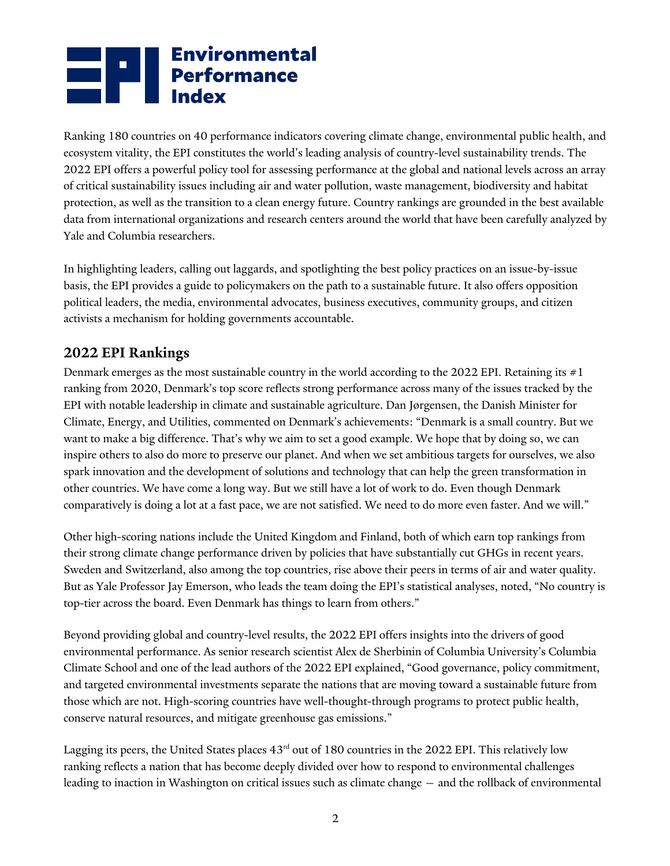# **Environmental**<br>**Performance**<br>**Index**

Ranking 180 countries on 40 performance indicators covering climate change, environmental public health, and ecosystem vitality, the EPI constitutes the world's leading analysis of country-level sustainability trends. The 2022 EPI offers a powerful policy tool for assessing performance at the global and national levels across an array of critical sustainability issues including air and water pollution, waste management, biodiversity and habitat protection, as well as the transition to a clean energy future. Country rankings are grounded in the best available data from international organizations and research centers around the world that have been carefully analyzed by Yale and Columbia researchers.

In highlighting leaders, calling out laggards, and spotlighting the best policy practices on an issue-by-issue basis, the EPI provides a guide to policymakers on the path to a sustainable future. It also offers opposition political leaders, the media, environmental advocates, business executives, community groups, and citizen activists a mechanism for holding governments accountable.

#### **2022 EPI Rankings**

Denmark emerges as the most sustainable country in the world according to the 2022 EPI. Retaining its  $\#1$ ranking from 2020, Denmark's top score reflects strong performance across many of the issues tracked by the EPI with notable leadership in climate and sustainable agriculture. Dan Jørgensen, the Danish Minister for Climate, Energy, and Utilities, commented on Denmark's achievements: "Denmark is a small country. But we want to make a big difference. That's why we aim to set a good example. We hope that by doing so, we can inspire others to also do more to preserve our planet. And when we set ambitious targets for ourselves, we also spark innovation and the development of solutions and technology that can help the green transformation in other countries. We have come a long way. But we still have a lot of work to do. Even though Denmark comparatively is doing a lot at a fast pace, we are not satisfied. We need to do more even faster. And we will."

Other high-scoring nations include the United Kingdom and Finland, both of which earn top rankings from their strong climate change performance driven by policies that have substantially cut GHGs in recent years. Sweden and Switzerland, also among the top countries, rise above their peers in terms of air and water quality. But as Yale Professor Jay Emerson, who leads the team doing the EPI's statistical analyses, noted, "No country is top-tier across the board. Even Denmark has things to learn from others."

Beyond providing global and country-level results, the 2022 EPI offers insights into the drivers of good environmental performance. As senior research scientist Alex de Sherbinin of Columbia University's Columbia Climate School and one of the lead authors of the 2022 EPI explained, "Good governance, policy commitment, and targeted environmental investments separate the nations that are moving toward a sustainable future from those which are not. High-scoring countries have well-thought-through programs to protect public health, conserve natural resources, and mitigate greenhouse gas emissions."

Lagging its peers, the United States places  $43<sup>rd</sup>$  out of 180 countries in the 2022 EPI. This relatively low ranking reflects a nation that has become deeply divided over how to respond to environmental challenges leading to inaction in Washington on critical issues such as climate change — and the rollback of environmental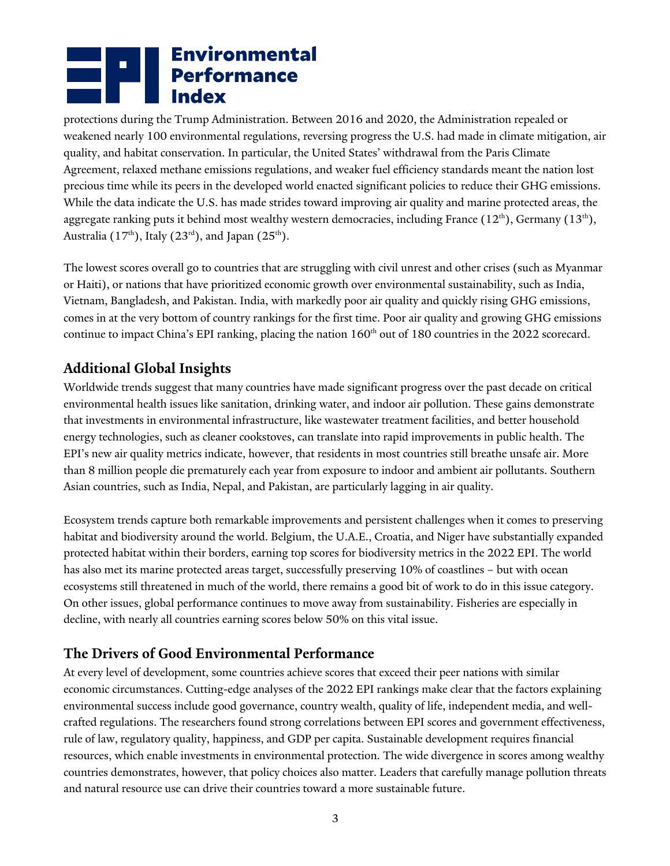## **Environmental<br>Environmental<br>Environmental<br>Index**

protections during the Trump Administration. Between 2016 and 2020, the Administration repealed or weakened nearly 100 environmental regulations, reversing progress the U.S. had made in climate mitigation, air quality, and habitat conservation. In particular, the United States' withdrawal from the Paris Climate Agreement, relaxed methane emissions regulations, and weaker fuel efficiency standards meant the nation lost precious time while its peers in the developed world enacted significant policies to reduce their GHG emissions. While the data indicate the U.S. has made strides toward improving air quality and marine protected areas, the aggregate ranking puts it behind most wealthy western democracies, including France  $(12<sup>th</sup>)$ , Germany  $(13<sup>th</sup>)$ , Australia (17<sup>th</sup>), Italy (23<sup>rd</sup>), and Japan (25<sup>th</sup>).

The lowest scores overall go to countries that are struggling with civil unrest and other crises (such as Myanmar or Haiti), or nations that have prioritized economic growth over environmental sustainability, such as India, Vietnam, Bangladesh, and Pakistan. India, with markedly poor air quality and quickly rising GHG emissions, comes in at the very bottom of country rankings for the first time. Poor air quality and growing GHG emissions continue to impact China's EPI ranking, placing the nation  $160<sup>th</sup>$  out of 180 countries in the 2022 scorecard.

### **Additional Global Insights**

Worldwide trends suggest that many countries have made significant progress over the past decade on critical environmental health issues like sanitation, drinking water, and indoor air pollution. These gains demonstrate that investments in environmental infrastructure, like wastewater treatment facilities, and better household energy technologies, such as cleaner cookstoves, can translate into rapid improvements in public health. The EPI's new air quality metrics indicate, however, that residents in most countries still breathe unsafe air. More than 8 million people die prematurely each year from exposure to indoor and ambient air pollutants. Southern Asian countries, such as India, Nepal, and Pakistan, are particularly lagging in air quality.

Ecosystem trends capture both remarkable improvements and persistent challenges when it comes to preserving habitat and biodiversity around the world. Belgium, the U.A.E., Croatia, and Niger have substantially expanded protected habitat within their borders, earning top scores for biodiversity metrics in the 2022 EPI. The world has also met its marine protected areas target, successfully preserving 10% of coastlines – but with ocean ecosystems still threatened in much of the world, there remains a good bit of work to do in this issue category. On other issues, global performance continues to move away from sustainability. Fisheries are especially in decline, with nearly all countries earning scores below 50% on this vital issue.

#### **The Drivers of Good Environmental Performance**

At every level of development, some countries achieve scores that exceed their peer nations with similar economic circumstances. Cutting-edge analyses of the 2022 EPI rankings make clear that the factors explaining environmental success include good governance, country wealth, quality of life, independent media, and wellcrafted regulations. The researchers found strong correlations between EPI scores and government effectiveness, rule of law, regulatory quality, happiness, and GDP per capita. Sustainable development requires financial resources, which enable investments in environmental protection. The wide divergence in scores among wealthy countries demonstrates, however, that policy choices also matter. Leaders that carefully manage pollution threats and natural resource use can drive their countries toward a more sustainable future.